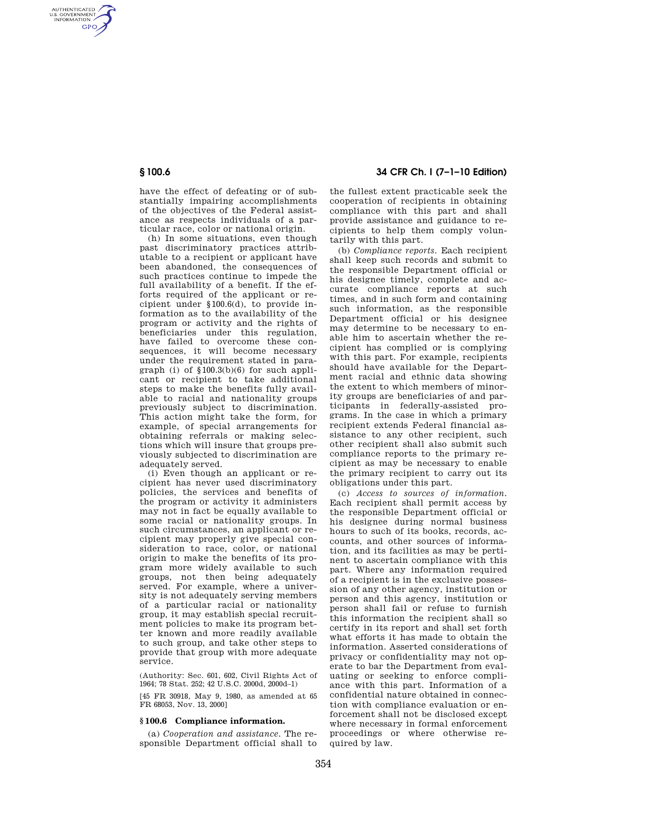AUTHENTICATED<br>U.S. GOVERNMENT<br>INFORMATION **GPO** 

> have the effect of defeating or of substantially impairing accomplishments of the objectives of the Federal assistance as respects individuals of a particular race, color or national origin.

> (h) In some situations, even though past discriminatory practices attributable to a recipient or applicant have been abandoned, the consequences of such practices continue to impede the full availability of a benefit. If the efforts required of the applicant or recipient under §100.6(d), to provide information as to the availability of the program or activity and the rights of beneficiaries under this regulation, have failed to overcome these consequences, it will become necessary under the requirement stated in paragraph (i) of  $$100.3(b)(6)$  for such applicant or recipient to take additional steps to make the benefits fully available to racial and nationality groups previously subject to discrimination. This action might take the form, for example, of special arrangements for obtaining referrals or making selections which will insure that groups previously subjected to discrimination are adequately served.

> (i) Even though an applicant or recipient has never used discriminatory policies, the services and benefits of the program or activity it administers may not in fact be equally available to some racial or nationality groups. In such circumstances, an applicant or recipient may properly give special consideration to race, color, or national origin to make the benefits of its program more widely available to such groups, not then being adequately served. For example, where a university is not adequately serving members of a particular racial or nationality group, it may establish special recruitment policies to make its program better known and more readily available to such group, and take other steps to provide that group with more adequate service.

(Authority: Sec. 601, 602, Civil Rights Act of 1964; 78 Stat. 252; 42 U.S.C. 2000d, 2000d–1)

[45 FR 30918, May 9, 1980, as amended at 65 FR 68053, Nov. 13, 2000]

#### **§ 100.6 Compliance information.**

(a) *Cooperation and assistance.* The responsible Department official shall to

# **§ 100.6 34 CFR Ch. I (7–1–10 Edition)**

the fullest extent practicable seek the cooperation of recipients in obtaining compliance with this part and shall provide assistance and guidance to recipients to help them comply voluntarily with this part.

(b) *Compliance reports.* Each recipient shall keep such records and submit to the responsible Department official or his designee timely, complete and accurate compliance reports at such times, and in such form and containing such information, as the responsible Department official or his designee may determine to be necessary to enable him to ascertain whether the recipient has complied or is complying with this part. For example, recipients should have available for the Department racial and ethnic data showing the extent to which members of minority groups are beneficiaries of and participants in federally-assisted programs. In the case in which a primary recipient extends Federal financial assistance to any other recipient, such other recipient shall also submit such compliance reports to the primary recipient as may be necessary to enable the primary recipient to carry out its obligations under this part.

(c) *Access to sources of information.*  Each recipient shall permit access by the responsible Department official or his designee during normal business hours to such of its books, records, accounts, and other sources of information, and its facilities as may be pertinent to ascertain compliance with this part. Where any information required of a recipient is in the exclusive possession of any other agency, institution or person and this agency, institution or person shall fail or refuse to furnish this information the recipient shall so certify in its report and shall set forth what efforts it has made to obtain the information. Asserted considerations of privacy or confidentiality may not operate to bar the Department from evaluating or seeking to enforce compliance with this part. Information of a confidential nature obtained in connection with compliance evaluation or enforcement shall not be disclosed except where necessary in formal enforcement proceedings or where otherwise required by law.